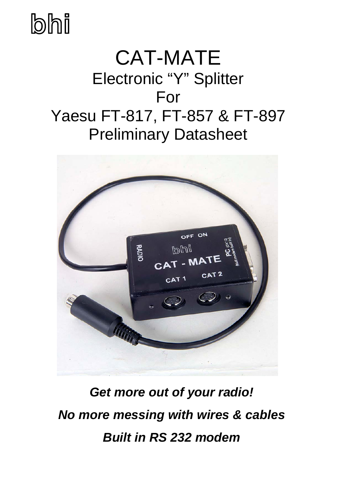## **bhi**

## CAT-MATE Electronic "Y" Splitter For Yaesu FT-817, FT-857 & FT-897 Preliminary Datasheet



*Get more out of your radio! No more messing with wires & cables Built in RS 232 modem*